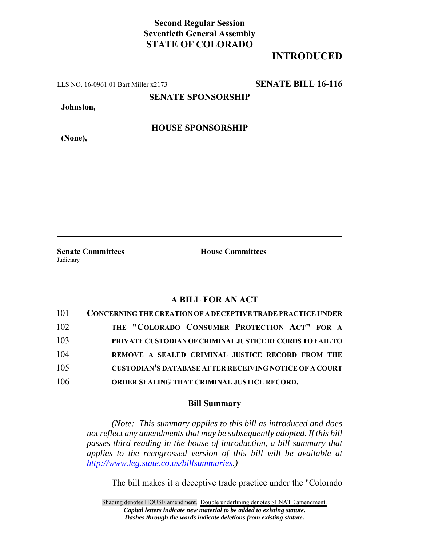## **Second Regular Session Seventieth General Assembly STATE OF COLORADO**

## **INTRODUCED**

LLS NO. 16-0961.01 Bart Miller x2173 **SENATE BILL 16-116**

**SENATE SPONSORSHIP**

**Johnston,**

**(None),**

**HOUSE SPONSORSHIP**

**Judiciary** 

**Senate Committees House Committees** 

## **A BILL FOR AN ACT**

| 101 | CONCERNING THE CREATION OF A DECEPTIVE TRADE PRACTICE UNDER   |
|-----|---------------------------------------------------------------|
| 102 | THE "COLORADO CONSUMER PROTECTION ACT" FOR A                  |
| 103 | PRIVATE CUSTODIAN OF CRIMINAL JUSTICE RECORDS TO FAIL TO      |
| 104 | REMOVE A SEALED CRIMINAL JUSTICE RECORD FROM THE              |
| 105 | <b>CUSTODIAN'S DATABASE AFTER RECEIVING NOTICE OF A COURT</b> |
| 106 | ORDER SEALING THAT CRIMINAL JUSTICE RECORD.                   |

## **Bill Summary**

*(Note: This summary applies to this bill as introduced and does not reflect any amendments that may be subsequently adopted. If this bill passes third reading in the house of introduction, a bill summary that applies to the reengrossed version of this bill will be available at http://www.leg.state.co.us/billsummaries.)*

The bill makes it a deceptive trade practice under the "Colorado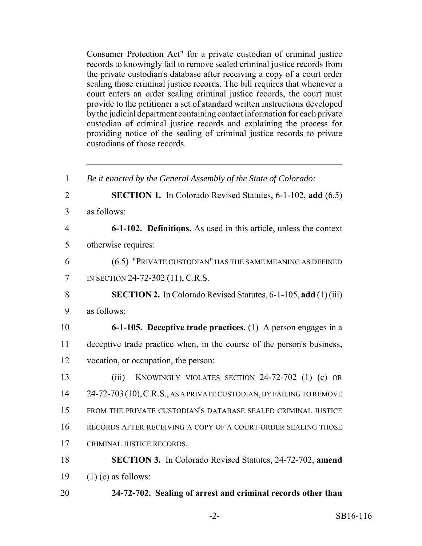Consumer Protection Act" for a private custodian of criminal justice records to knowingly fail to remove sealed criminal justice records from the private custodian's database after receiving a copy of a court order sealing those criminal justice records. The bill requires that whenever a court enters an order sealing criminal justice records, the court must provide to the petitioner a set of standard written instructions developed by the judicial department containing contact information for each private custodian of criminal justice records and explaining the process for providing notice of the sealing of criminal justice records to private custodians of those records.

 *Be it enacted by the General Assembly of the State of Colorado:* **SECTION 1.** In Colorado Revised Statutes, 6-1-102, **add** (6.5) as follows: **6-1-102. Definitions.** As used in this article, unless the context otherwise requires: (6.5) "PRIVATE CUSTODIAN" HAS THE SAME MEANING AS DEFINED IN SECTION 24-72-302 (11), C.R.S. **SECTION 2.** In Colorado Revised Statutes, 6-1-105, **add** (1) (iii) as follows: **6-1-105. Deceptive trade practices.** (1) A person engages in a deceptive trade practice when, in the course of the person's business, vocation, or occupation, the person: (iii) KNOWINGLY VIOLATES SECTION 24-72-702 (1) (c) OR 24-72-703(10),C.R.S., AS A PRIVATE CUSTODIAN, BY FAILING TO REMOVE FROM THE PRIVATE CUSTODIAN'S DATABASE SEALED CRIMINAL JUSTICE RECORDS AFTER RECEIVING A COPY OF A COURT ORDER SEALING THOSE CRIMINAL JUSTICE RECORDS. **SECTION 3.** In Colorado Revised Statutes, 24-72-702, **amend**  $(1)$  (c) as follows: **24-72-702. Sealing of arrest and criminal records other than**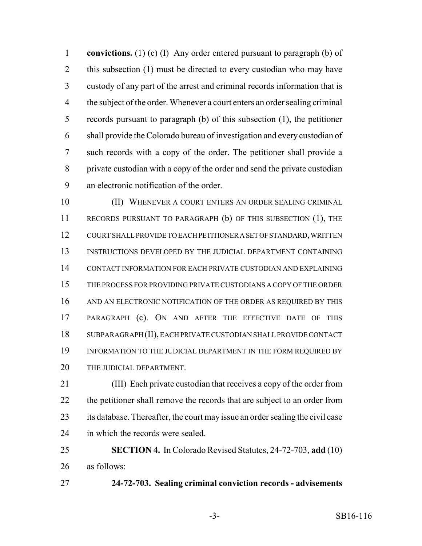**convictions.** (1) (c) (I) Any order entered pursuant to paragraph (b) of 2 this subsection (1) must be directed to every custodian who may have custody of any part of the arrest and criminal records information that is the subject of the order. Whenever a court enters an order sealing criminal records pursuant to paragraph (b) of this subsection (1), the petitioner shall provide the Colorado bureau of investigation and every custodian of such records with a copy of the order. The petitioner shall provide a private custodian with a copy of the order and send the private custodian an electronic notification of the order.

10 (II) WHENEVER A COURT ENTERS AN ORDER SEALING CRIMINAL RECORDS PURSUANT TO PARAGRAPH (b) OF THIS SUBSECTION (1), THE COURT SHALL PROVIDE TO EACH PETITIONER A SET OF STANDARD, WRITTEN INSTRUCTIONS DEVELOPED BY THE JUDICIAL DEPARTMENT CONTAINING CONTACT INFORMATION FOR EACH PRIVATE CUSTODIAN AND EXPLAINING THE PROCESS FOR PROVIDING PRIVATE CUSTODIANS A COPY OF THE ORDER AND AN ELECTRONIC NOTIFICATION OF THE ORDER AS REQUIRED BY THIS PARAGRAPH (c). ON AND AFTER THE EFFECTIVE DATE OF THIS SUBPARAGRAPH (II), EACH PRIVATE CUSTODIAN SHALL PROVIDE CONTACT 19 INFORMATION TO THE JUDICIAL DEPARTMENT IN THE FORM REQUIRED BY THE JUDICIAL DEPARTMENT.

 (III) Each private custodian that receives a copy of the order from the petitioner shall remove the records that are subject to an order from its database. Thereafter, the court may issue an order sealing the civil case 24 in which the records were sealed.

 **SECTION 4.** In Colorado Revised Statutes, 24-72-703, **add** (10) as follows:

**24-72-703. Sealing criminal conviction records - advisements**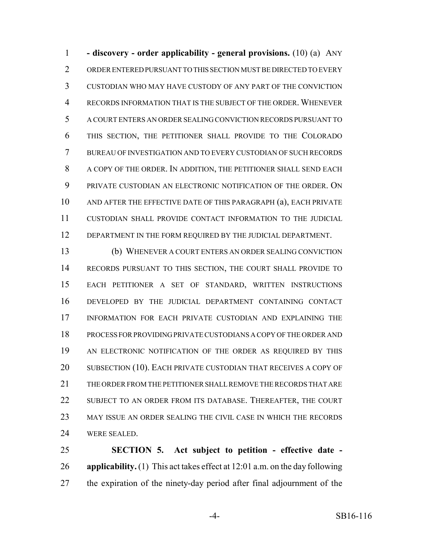**- discovery - order applicability - general provisions.** (10) (a) ANY ORDER ENTERED PURSUANT TO THIS SECTION MUST BE DIRECTED TO EVERY CUSTODIAN WHO MAY HAVE CUSTODY OF ANY PART OF THE CONVICTION RECORDS INFORMATION THAT IS THE SUBJECT OF THE ORDER. WHENEVER A COURT ENTERS AN ORDER SEALING CONVICTION RECORDS PURSUANT TO THIS SECTION, THE PETITIONER SHALL PROVIDE TO THE COLORADO BUREAU OF INVESTIGATION AND TO EVERY CUSTODIAN OF SUCH RECORDS A COPY OF THE ORDER. IN ADDITION, THE PETITIONER SHALL SEND EACH PRIVATE CUSTODIAN AN ELECTRONIC NOTIFICATION OF THE ORDER. ON AND AFTER THE EFFECTIVE DATE OF THIS PARAGRAPH (a), EACH PRIVATE CUSTODIAN SHALL PROVIDE CONTACT INFORMATION TO THE JUDICIAL 12 DEPARTMENT IN THE FORM REQUIRED BY THE JUDICIAL DEPARTMENT.

 (b) WHENEVER A COURT ENTERS AN ORDER SEALING CONVICTION RECORDS PURSUANT TO THIS SECTION, THE COURT SHALL PROVIDE TO EACH PETITIONER A SET OF STANDARD, WRITTEN INSTRUCTIONS DEVELOPED BY THE JUDICIAL DEPARTMENT CONTAINING CONTACT INFORMATION FOR EACH PRIVATE CUSTODIAN AND EXPLAINING THE PROCESS FOR PROVIDING PRIVATE CUSTODIANS A COPY OF THE ORDER AND AN ELECTRONIC NOTIFICATION OF THE ORDER AS REQUIRED BY THIS 20 SUBSECTION (10). EACH PRIVATE CUSTODIAN THAT RECEIVES A COPY OF THE ORDER FROM THE PETITIONER SHALL REMOVE THE RECORDS THAT ARE 22 SUBJECT TO AN ORDER FROM ITS DATABASE. THEREAFTER, THE COURT MAY ISSUE AN ORDER SEALING THE CIVIL CASE IN WHICH THE RECORDS WERE SEALED.

 **SECTION 5. Act subject to petition - effective date - applicability.** (1) This act takes effect at 12:01 a.m. on the day following the expiration of the ninety-day period after final adjournment of the